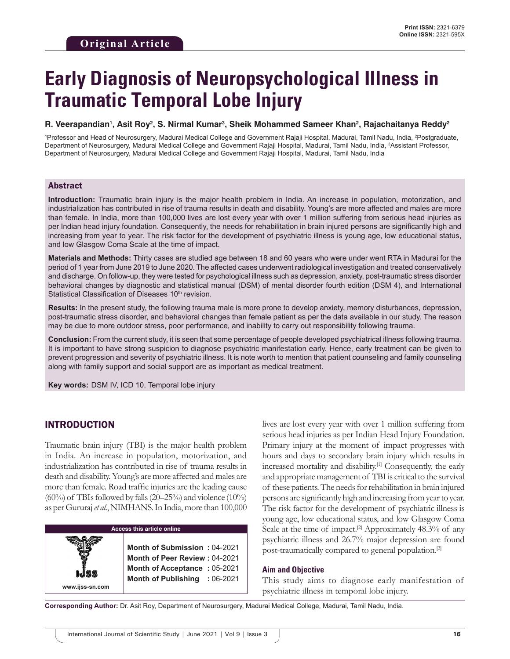# **Early Diagnosis of Neuropsychological Illness in Traumatic Temporal Lobe Injury**

### **R. Veerapandian1 , Asit Roy2 , S. Nirmal Kumar3 , Sheik Mohammed Sameer Khan2 , Rajachaitanya Reddy2**

<sup>1</sup>Professor and Head of Neurosurgery, Madurai Medical College and Government Rajaji Hospital, Madurai, Tamil Nadu, India, <sup>2</sup>Postgraduate, Department of Neurosurgery, Madurai Medical College and Government Rajaji Hospital, Madurai, Tamil Nadu, India, 3 Assistant Professor, Department of Neurosurgery, Madurai Medical College and Government Rajaji Hospital, Madurai, Tamil Nadu, India

## Abstract

**Introduction:** Traumatic brain injury is the major health problem in India. An increase in population, motorization, and industrialization has contributed in rise of trauma results in death and disability. Young's are more affected and males are more than female. In India, more than 100,000 lives are lost every year with over 1 million suffering from serious head injuries as per Indian head injury foundation. Consequently, the needs for rehabilitation in brain injured persons are significantly high and increasing from year to year. The risk factor for the development of psychiatric illness is young age, low educational status, and low Glasgow Coma Scale at the time of impact.

**Materials and Methods:** Thirty cases are studied age between 18 and 60 years who were under went RTA in Madurai for the period of 1 year from June 2019 to June 2020. The affected cases underwent radiological investigation and treated conservatively and discharge. On follow-up, they were tested for psychological illness such as depression, anxiety, post-traumatic stress disorder behavioral changes by diagnostic and statistical manual (DSM) of mental disorder fourth edition (DSM 4), and International Statistical Classification of Diseases 10<sup>th</sup> revision.

**Results:** In the present study, the following trauma male is more prone to develop anxiety, memory disturbances, depression, post-traumatic stress disorder, and behavioral changes than female patient as per the data available in our study. The reason may be due to more outdoor stress, poor performance, and inability to carry out responsibility following trauma.

**Conclusion:** From the current study, it is seen that some percentage of people developed psychiatrical illness following trauma. It is important to have strong suspicion to diagnose psychiatric manifestation early. Hence, early treatment can be given to prevent progression and severity of psychiatric illness. It is note worth to mention that patient counseling and family counseling along with family support and social support are as important as medical treatment.

**Key words:**DSM IV, ICD 10, Temporal lobe injury

# INTRODUCTION

**www.ijss-sn.com**

Traumatic brain injury (TBI) is the major health problem in India. An increase in population, motorization, and industrialization has contributed in rise of trauma results in death and disability. Young's are more affected and males are more than female. Road traffic injuries are the leading cause  $(60\%)$  of TBIs followed by falls  $(20-25\%)$  and violence  $(10\%)$ as per Gururaj *et al.*, NIMHANS. In India, more than 100,000

#### **Access this article online**

**Month of Submission :** 04-2021 **Month of Peer Review :** 04-2021 **Month of Acceptance :** 05-2021 **Month of Publishing :** 06-2021

lives are lost every year with over 1 million suffering from serious head injuries as per Indian Head Injury Foundation. Primary injury at the moment of impact progresses with hours and days to secondary brain injury which results in increased mortality and disability.[1] Consequently, the early and appropriate management of TBI is critical to the survival of these patients. The needs for rehabilitation in brain injured persons are significantly high and increasing from year to year. The risk factor for the development of psychiatric illness is young age, low educational status, and low Glasgow Coma Scale at the time of impact.<sup>[2]</sup> Approximately  $48.3\%$  of any psychiatric illness and 26.7% major depression are found post-traumatically compared to general population.[3]

#### **Aim and Objective**

This study aims to diagnose early manifestation of psychiatric illness in temporal lobe injury.

**Corresponding Author:** Dr. Asit Roy, Department of Neurosurgery, Madurai Medical College, Madurai, Tamil Nadu, India.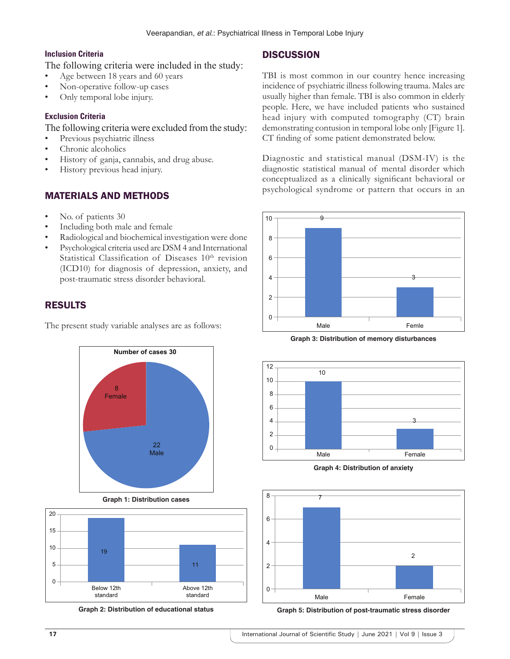# **Inclusion Criteria**

The following criteria were included in the study:

- Age between 18 years and 60 years
- Non-operative follow-up cases
- Only temporal lobe injury.

# **Exclusion Criteria**

The following criteria were excluded from the study:

- Previous psychiatric illness
- Chronic alcoholics
- History of ganja, cannabis, and drug abuse.
- History previous head injury.

# MATERIALS AND METHODS

- No. of patients 30
- Including both male and female
- Radiological and biochemical investigation were done
- Psychological criteria used are DSM 4 and International Statistical Classification of Diseases 10<sup>th</sup> revision (ICD10) for diagnosis of depression, anxiety, and post-traumatic stress disorder behavioral.

# RESULTS

The present study variable analyses are as follows:



**Graph 1: Distribution cases**



**Graph 2: Distribution of educational status**

# **DISCUSSION**

TBI is most common in our country hence increasing incidence of psychiatric illness following trauma. Males are usually higher than female. TBI is also common in elderly people. Here, we have included patients who sustained head injury with computed tomography (CT) brain demonstrating contusion in temporal lobe only [Figure 1]. CT finding of some patient demonstrated below.

Diagnostic and statistical manual (DSM-IV) is the diagnostic statistical manual of mental disorder which conceptualized as a clinically significant behavioral or psychological syndrome or pattern that occurs in an



**Graph 3: Distribution of memory disturbances**



**Graph 4: Distribution of anxiety**



**Graph 5: Distribution of post-traumatic stress disorder**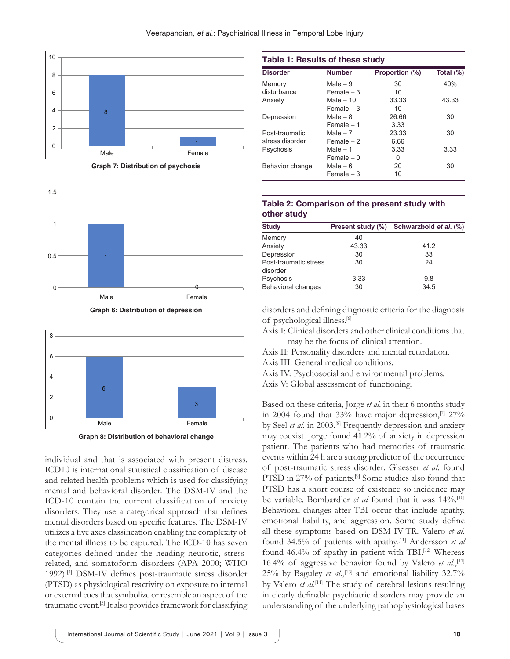

**Graph 7: Distribution of psychosis**



**Graph 6: Distribution of depression**



**Graph 8: Distribution of behavioral change**

individual and that is associated with present distress. ICD10 is international statistical classification of disease and related health problems which is used for classifying mental and behavioral disorder. The DSM-IV and the ICD-10 contain the current classification of anxiety disorders. They use a categorical approach that defines mental disorders based on specific features. The DSM-IV utilizes a five axes classification enabling the complexity of the mental illness to be captured. The ICD-10 has seven categories defined under the heading neurotic, stressrelated, and somatoform disorders (APA 2000; WHO 1992).[4] DSM-IV defines post-traumatic stress disorder (PTSD) as physiological reactivity on exposure to internal or external cues that symbolize or resemble an aspect of the traumatic event.[5] It also provides framework for classifying

| <b>Table 1: Results of these study</b> |               |                |           |
|----------------------------------------|---------------|----------------|-----------|
| <b>Disorder</b>                        | <b>Number</b> | Proportion (%) | Total (%) |
| Memory                                 | Male $-9$     | 30             | 40%       |
| disturbance                            | $Female - 3$  | 10             |           |
| Anxiety                                | Male $-10$    | 33.33          | 43.33     |
|                                        | $Female - 3$  | 10             |           |
| Depression                             | Male $-8$     | 26.66          | 30        |
|                                        | $Female - 1$  | 3.33           |           |
| Post-traumatic                         | Male $-7$     | 23.33          | 30        |
| stress disorder                        | Female $-2$   | 6.66           |           |
| Psychosis                              | Male $-1$     | 3.33           | 3.33      |
|                                        | $Female - 0$  | 0              |           |
| Behavior change                        | Male – $6$    | 20             | 30        |
|                                        | Female $-3$   | 10             |           |

## **Table 2: Comparison of the present study with other study**

| <b>Study</b>                      | Present study (%) | Schwarzbold et al. (%) |
|-----------------------------------|-------------------|------------------------|
| Memory                            | 40                |                        |
| Anxiety                           | 43.33             | 41.2                   |
| Depression                        | 30                | 33                     |
| Post-traumatic stress<br>disorder | 30                | 24                     |
| Psychosis                         | 3.33              | 9.8                    |
| Behavioral changes                | 30                | 34.5                   |

disorders and defining diagnostic criteria for the diagnosis of psychological illness.[6]

Axis I: Clinical disorders and other clinical conditions that may be the focus of clinical attention.

Axis II: Personality disorders and mental retardation.

Axis III: General medical conditions.

Axis IV: Psychosocial and environmental problems. Axis V: Global assessment of functioning.

Based on these criteria, Jorge *et al*. in their 6 months study in 2004 found that 33% have major depression, $[7]$  27% by Seel *et al*. in 2003.[8] Frequently depression and anxiety may coexist. Jorge found 41.2% of anxiety in depression patient. The patients who had memories of traumatic events within 24 h are a strong predictor of the occurrence of post-traumatic stress disorder. Glaesser *et al*. found PTSD in 27% of patients.<sup>[9]</sup> Some studies also found that PTSD has a short course of existence so incidence may be variable. Bombardier *et al* found that it was 14%.[10] Behavioral changes after TBI occur that include apathy, emotional liability, and aggression. Some study define all these symptoms based on DSM IV-TR. Valero *et al*. found 34.5% of patients with apathy.[11] Andersson *et al* found 46.4% of apathy in patient with TBI.<sup>[12]</sup> Whereas 16.4% of aggressive behavior found by Valero *et al.*,<sup>[11]</sup> 25% by Baguley *et al.*,<sup>[13]</sup> and emotional liability 32.7% by Valero *et al.*<sup>[11]</sup> The study of cerebral lesions resulting in clearly definable psychiatric disorders may provide an understanding of the underlying pathophysiological bases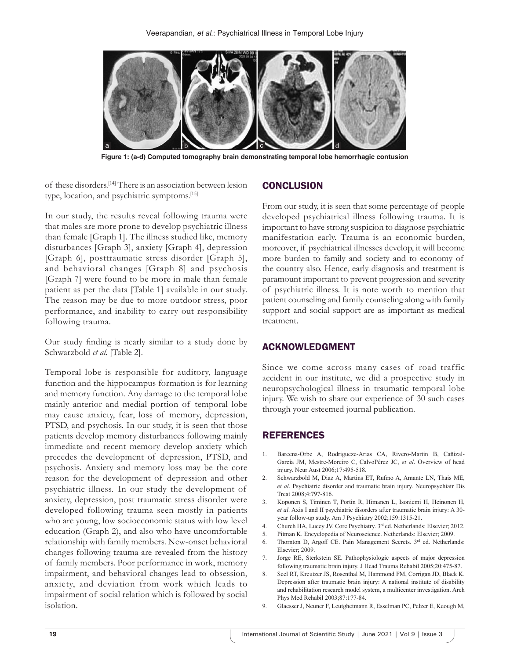

**Figure 1: (a-d) Computed tomography brain demonstrating temporal lobe hemorrhagic contusion**

of these disorders.[14] There is an association between lesion type, location, and psychiatric symptoms.[15]

In our study, the results reveal following trauma were that males are more prone to develop psychiatric illness than female [Graph 1]. The illness studied like, memory disturbances [Graph 3], anxiety [Graph 4], depression [Graph 6], posttraumatic stress disorder [Graph 5], and behavioral changes [Graph 8] and psychosis [Graph 7] were found to be more in male than female patient as per the data [Table 1] available in our study. The reason may be due to more outdoor stress, poor performance, and inability to carry out responsibility following trauma.

Our study finding is nearly similar to a study done by Schwarzbold *et al*. [Table 2].

Temporal lobe is responsible for auditory, language function and the hippocampus formation is for learning and memory function. Any damage to the temporal lobe mainly anterior and medial portion of temporal lobe may cause anxiety, fear, loss of memory, depression, PTSD, and psychosis. In our study, it is seen that those patients develop memory disturbances following mainly immediate and recent memory develop anxiety which precedes the development of depression, PTSD, and psychosis. Anxiety and memory loss may be the core reason for the development of depression and other psychiatric illness. In our study the development of anxiety, depression, post traumatic stress disorder were developed following trauma seen mostly in patients who are young, low socioeconomic status with low level education (Graph 2), and also who have uncomfortable relationship with family members. New-onset behavioral changes following trauma are revealed from the history of family members. Poor performance in work, memory impairment, and behavioral changes lead to obsession, anxiety, and deviation from work which leads to impairment of social relation which is followed by social isolation.

### **CONCLUSION**

From our study, it is seen that some percentage of people developed psychiatrical illness following trauma. It is important to have strong suspicion to diagnose psychiatric manifestation early. Trauma is an economic burden, moreover, if psychiatrical illnesses develop, it will become more burden to family and society and to economy of the country also. Hence, early diagnosis and treatment is paramount important to prevent progression and severity of psychiatric illness. It is note worth to mention that patient counseling and family counseling along with family support and social support are as important as medical treatment.

## ACKNOWLEDGMENT

Since we come across many cases of road traffic accident in our institute, we did a prospective study in neuropsychological illness in traumatic temporal lobe injury. We wish to share our experience of 30 such cases through your esteemed journal publication.

## REFERENCES

- 1. Barcena-Orbe A, Rodrigueze-Arias CA, Rivero-Martin B, Cañizal-García JM, Mestre-Moreiro C, CalvoPérez JC, *et al*. Overview of head injury. Neur Aust 2006;17:495-518.
- 2. Schwarzbold M, Diaz A, Martins ET, Rufino A, Amante LN, Thais ME, *et al*. Psychiatric disorder and traumatic brain injury. Neuropsychiatr Dis Treat 2008;4:797-816.
- 3. Koponen S, Timinen T, Portin R, Himanen L, Isoniemi H, Heinonen H, *et al*. Axis I and II psychiatric disorders after traumatic brain injury: A 30 year follow-up study. Am J Psychiatry 2002;159:1315-21.
- 4. Church HA, Lucey JV. Core Psychiatry. 3<sup>rd</sup> ed. Netherlands: Elsevier; 2012.
- 5. Pitman K. Encyclopedia of Neuroscience. Netherlands: Elsevier; 2009.
- 6. Thornton D, Argoff CE. Pain Management Secrets.  $3<sup>rd</sup>$  ed. Netherlands: Elsevier; 2009.
- 7. Jorge RE, Sterkstein SE. Pathophysiologic aspects of major depression following traumatic brain injury. J Head Trauma Rehabil 2005;20:475-87.
- 8. Seel RT, Kreutzer JS, Rosenthal M, Hammond FM, Corrigan JD, Black K. Depression after traumatic brain injury: A national institute of disability and rehabilitation research model system, a multicenter investigation. Arch Phys Med Rehabil 2003;87:177-84.
- 9. Glaesser J, Neuner F, Leutghetmann R, Esselman PC, Pelzer E, Keough M,